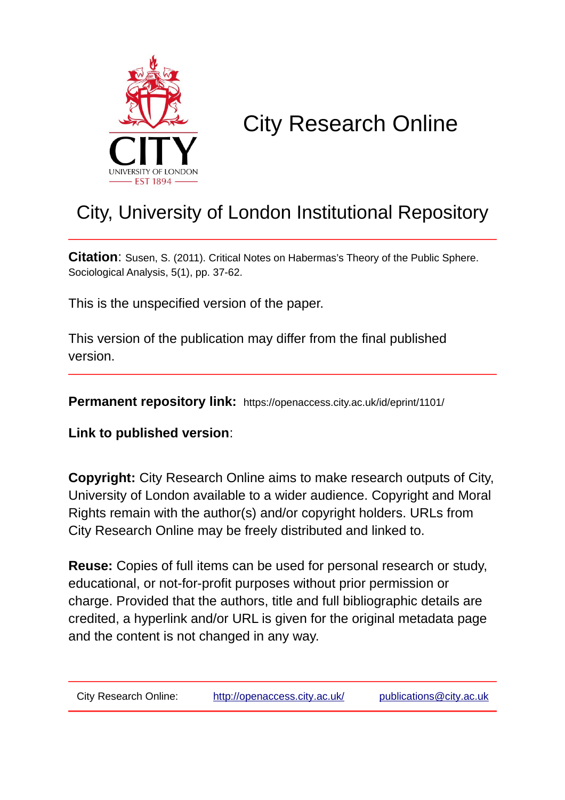

# City Research Online

## City, University of London Institutional Repository

**Citation**: Susen, S. (2011). Critical Notes on Habermas's Theory of the Public Sphere. Sociological Analysis, 5(1), pp. 37-62.

This is the unspecified version of the paper.

This version of the publication may differ from the final published version.

**Permanent repository link:** https://openaccess.city.ac.uk/id/eprint/1101/

**Link to published version**:

**Copyright:** City Research Online aims to make research outputs of City, University of London available to a wider audience. Copyright and Moral Rights remain with the author(s) and/or copyright holders. URLs from City Research Online may be freely distributed and linked to.

**Reuse:** Copies of full items can be used for personal research or study, educational, or not-for-profit purposes without prior permission or charge. Provided that the authors, title and full bibliographic details are credited, a hyperlink and/or URL is given for the original metadata page and the content is not changed in any way.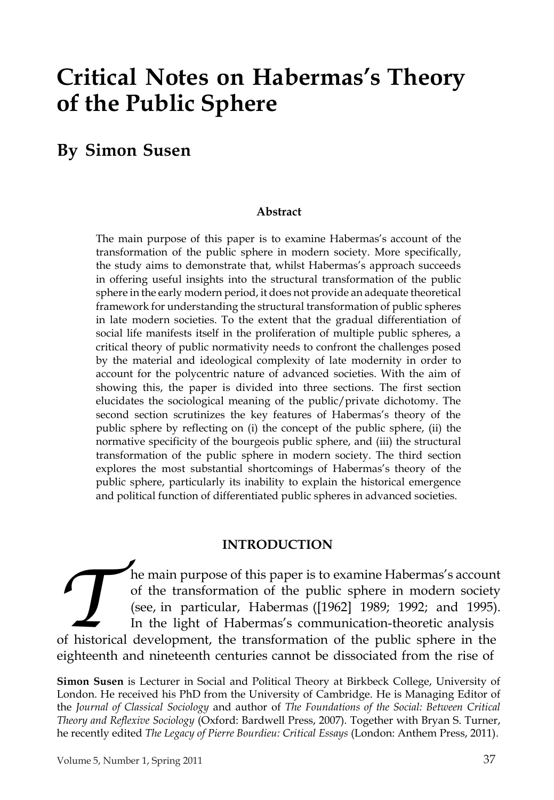## **Critical Notes on Habermas's Theory of the Public Sphere**

## **By Simon Susen**

#### **Abstract**

The main purpose of this paper is to examine Habermas's account of the transformation of the public sphere in modern society. More specifically, the study aims to demonstrate that, whilst Habermas's approach succeeds in offering useful insights into the structural transformation of the public sphere in the early modern period, it does not provide an adequate theoretical framework for understanding the structural transformation of public spheres in late modern societies. To the extent that the gradual differentiation of social life manifests itself in the proliferation of multiple public spheres, a critical theory of public normativity needs to confront the challenges posed by the material and ideological complexity of late modernity in order to account for the polycentric nature of advanced societies. With the aim of showing this, the paper is divided into three sections. The first section elucidates the sociological meaning of the public/private dichotomy. The second section scrutinizes the key features of Habermas's theory of the public sphere by reflecting on (i) the concept of the public sphere, (ii) the normative specificity of the bourgeois public sphere, and (iii) the structural transformation of the public sphere in modern society. The third section explores the most substantial shortcomings of Habermas's theory of the public sphere, particularly its inability to explain the historical emergence and political function of differentiated public spheres in advanced societies.

#### **INTRODUCTION**

**The main purpose of this paper is to examine Habermas's account of the transformation of the public sphere in modern society (see, in particular, Habermas ([1962] 1989; 1992; and 1995) In the light of Habermas's communica** he main purpose of this paper is to examine Habermas's account of the transformation of the public sphere in modern society (see, in particular, Habermas ([1962] 1989; 1992; and 1995). In the light of Habermas's communication-theoretic analysis eighteenth and nineteenth centuries cannot be dissociated from the rise of

**Simon Susen** is Lecturer in Social and Political Theory at Birkbeck College, University of London. He received his PhD from the University of Cambridge. He is Managing Editor of the *Journal of Classical Sociology* and author of *The Foundations of the Social: Between Critical Theory and Reflexive Sociology* (Oxford: Bardwell Press, 2007). Together with Bryan S. Turner, he recently edited *The Legacy of Pierre Bourdieu: Critical Essays* (London: Anthem Press, 2011).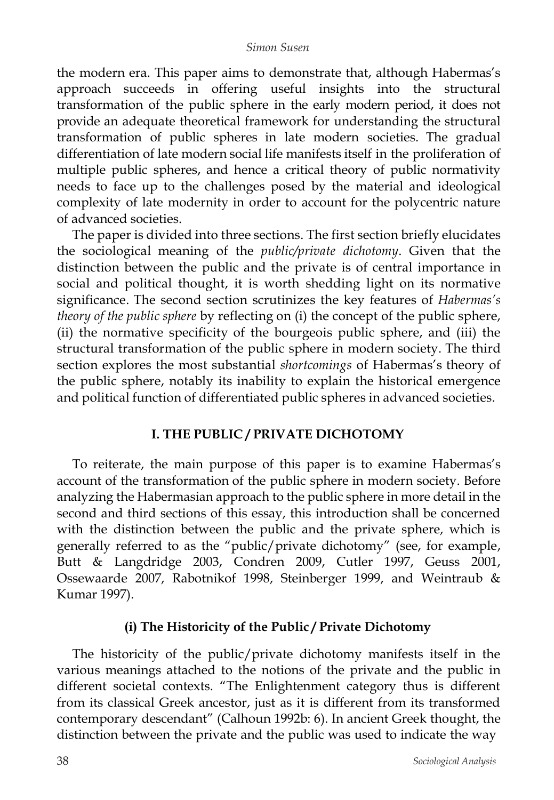the modern era. This paper aims to demonstrate that, although Habermas's approach succeeds in offering useful insights into the structural transformation of the public sphere in the early modern period, it does not provide an adequate theoretical framework for understanding the structural transformation of public spheres in late modern societies. The gradual differentiation of late modern social life manifests itself in the proliferation of multiple public spheres, and hence a critical theory of public normativity needs to face up to the challenges posed by the material and ideological complexity of late modernity in order to account for the polycentric nature of advanced societies.

The paper is divided into three sections. The first section briefly elucidates the sociological meaning of the *public/private dichotomy*. Given that the distinction between the public and the private is of central importance in social and political thought, it is worth shedding light on its normative significance. The second section scrutinizes the key features of *Habermas's theory of the public sphere* by reflecting on (i) the concept of the public sphere, (ii) the normative specificity of the bourgeois public sphere, and (iii) the structural transformation of the public sphere in modern society. The third section explores the most substantial *shortcomings* of Habermas's theory of the public sphere, notably its inability to explain the historical emergence and political function of differentiated public spheres in advanced societies.

## **I. THE PUBLIC / PRIVATE DICHOTOMY**

To reiterate, the main purpose of this paper is to examine Habermas's account of the transformation of the public sphere in modern society. Before analyzing the Habermasian approach to the public sphere in more detail in the second and third sections of this essay, this introduction shall be concerned with the distinction between the public and the private sphere, which is generally referred to as the "public/private dichotomy" (see, for example, Butt & Langdridge 2003, Condren 2009, Cutler 1997, Geuss 2001, Ossewaarde 2007, Rabotnikof 1998, Steinberger 1999, and Weintraub & Kumar 1997).

## **(i) The Historicity of the Public / Private Dichotomy**

The historicity of the public/private dichotomy manifests itself in the various meanings attached to the notions of the private and the public in different societal contexts. "The Enlightenment category thus is different from its classical Greek ancestor, just as it is different from its transformed contemporary descendant" (Calhoun 1992b: 6). In ancient Greek thought, the distinction between the private and the public was used to indicate the way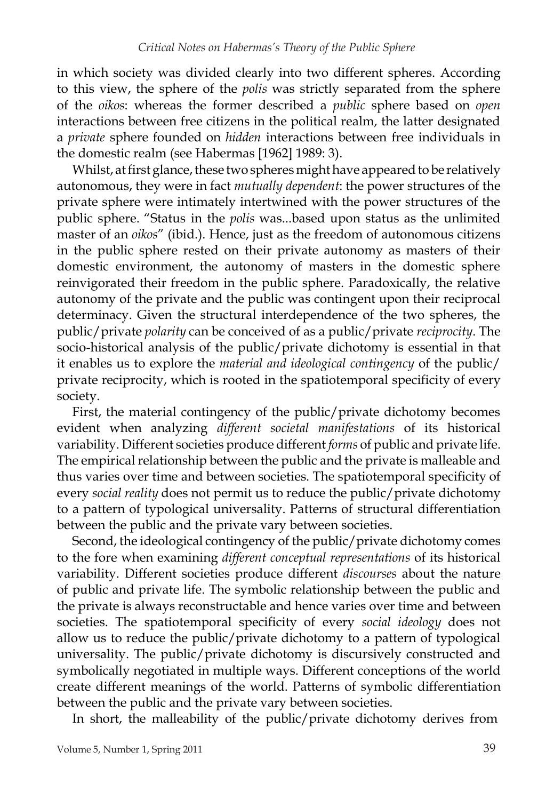in which society was divided clearly into two different spheres. According to this view, the sphere of the *polis* was strictly separated from the sphere of the *oikos*: whereas the former described a *public* sphere based on *open*  interactions between free citizens in the political realm, the latter designated a *private* sphere founded on *hidden* interactions between free individuals in the domestic realm (see Habermas [1962] 1989: 3).

Whilst, at first glance, these two spheres might have appeared to be relatively autonomous, they were in fact *mutually dependent*: the power structures of the private sphere were intimately intertwined with the power structures of the public sphere. "Status in the *polis* was...based upon status as the unlimited master of an *oikos*" (ibid.). Hence, just as the freedom of autonomous citizens in the public sphere rested on their private autonomy as masters of their domestic environment, the autonomy of masters in the domestic sphere reinvigorated their freedom in the public sphere. Paradoxically, the relative autonomy of the private and the public was contingent upon their reciprocal determinacy. Given the structural interdependence of the two spheres, the public/private *polarity* can be conceived of as a public/private *reciprocity*. The socio-historical analysis of the public/private dichotomy is essential in that it enables us to explore the *material and ideological contingency* of the public/ private reciprocity, which is rooted in the spatiotemporal specificity of every society.

First, the material contingency of the public/private dichotomy becomes evident when analyzing *different societal manifestations* of its historical variability. Different societies produce different *forms* of public and private life. The empirical relationship between the public and the private is malleable and thus varies over time and between societies. The spatiotemporal specificity of every *social reality* does not permit us to reduce the public/private dichotomy to a pattern of typological universality. Patterns of structural differentiation between the public and the private vary between societies.

Second, the ideological contingency of the public/private dichotomy comes to the fore when examining *different conceptual representations* of its historical variability. Different societies produce different *discourses* about the nature of public and private life. The symbolic relationship between the public and the private is always reconstructable and hence varies over time and between societies. The spatiotemporal specificity of every *social ideology* does not allow us to reduce the public/private dichotomy to a pattern of typological universality. The public/private dichotomy is discursively constructed and symbolically negotiated in multiple ways. Different conceptions of the world create different meanings of the world. Patterns of symbolic differentiation between the public and the private vary between societies.

In short, the malleability of the public/private dichotomy derives from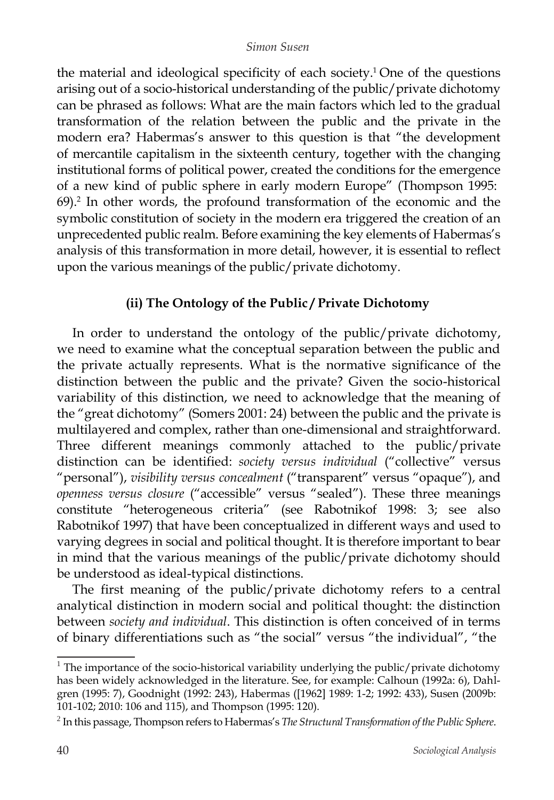the material and ideological specificity of each society. <sup>1</sup> One of the questions arising out of a socio-historical understanding of the public/private dichotomy can be phrased as follows: What are the main factors which led to the gradual transformation of the relation between the public and the private in the modern era? Habermas's answer to this question is that "the development of mercantile capitalism in the sixteenth century, together with the changing institutional forms of political power, created the conditions for the emergence of a new kind of public sphere in early modern Europe" (Thompson 1995: 69).<sup>2</sup> In other words, the profound transformation of the economic and the symbolic constitution of society in the modern era triggered the creation of an unprecedented public realm. Before examining the key elements of Habermas's analysis of this transformation in more detail, however, it is essential to reflect upon the various meanings of the public/private dichotomy.

## **(ii) The Ontology of the Public / Private Dichotomy**

In order to understand the ontology of the public/private dichotomy, we need to examine what the conceptual separation between the public and the private actually represents. What is the normative significance of the distinction between the public and the private? Given the socio-historical variability of this distinction, we need to acknowledge that the meaning of the "great dichotomy" (Somers 2001: 24) between the public and the private is multilayered and complex, rather than one-dimensional and straightforward. Three different meanings commonly attached to the public/private distinction can be identified: *society versus individual* ("collective" versus "personal"), *visibility versus concealment* ("transparent" versus "opaque"), and *openness versus closure* ("accessible" versus "sealed"). These three meanings constitute "heterogeneous criteria" (see Rabotnikof 1998: 3; see also Rabotnikof 1997) that have been conceptualized in different ways and used to varying degrees in social and political thought. It is therefore important to bear in mind that the various meanings of the public/private dichotomy should be understood as ideal-typical distinctions.

The first meaning of the public/private dichotomy refers to a central analytical distinction in modern social and political thought: the distinction between *society and individual*. This distinction is often conceived of in terms of binary differentiations such as "the social" versus "the individual", "the

 $1$  The importance of the socio-historical variability underlying the public/private dichotomy has been widely acknowledged in the literature. See, for example: Calhoun (1992a: 6), Dahlgren (1995: 7), Goodnight (1992: 243), Habermas ([1962] 1989: 1-2; 1992: 433), Susen (2009b: 101-102; 2010: 106 and 115), and Thompson (1995: 120).

<sup>2</sup> In this passage, Thompson refers to Habermas's *The Structural Transformation of the Public Sphere*.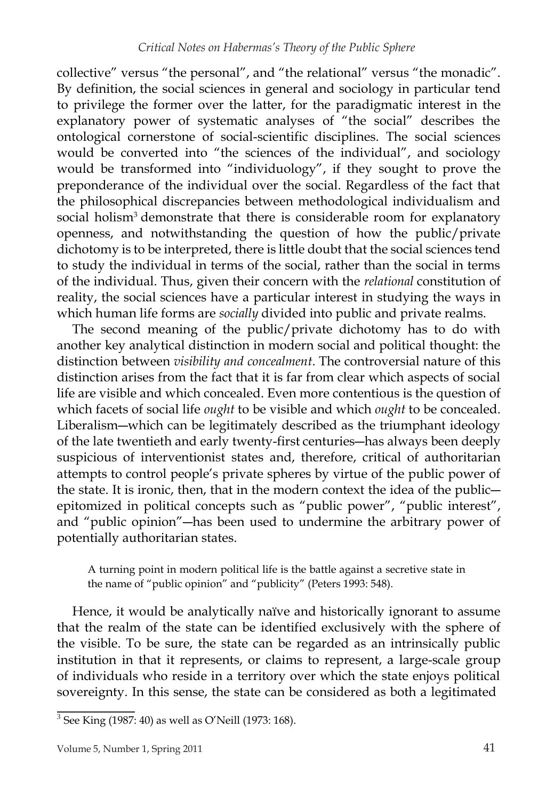collective" versus "the personal", and "the relational" versus "the monadic". By definition, the social sciences in general and sociology in particular tend to privilege the former over the latter, for the paradigmatic interest in the explanatory power of systematic analyses of "the social" describes the ontological cornerstone of social-scientific disciplines. The social sciences would be converted into "the sciences of the individual", and sociology would be transformed into "individuology", if they sought to prove the preponderance of the individual over the social. Regardless of the fact that the philosophical discrepancies between methodological individualism and social holism<sup>3</sup> demonstrate that there is considerable room for explanatory openness, and notwithstanding the question of how the public/private dichotomy is to be interpreted, there is little doubt that the social sciences tend to study the individual in terms of the social, rather than the social in terms of the individual. Thus, given their concern with the *relational* constitution of reality, the social sciences have a particular interest in studying the ways in which human life forms are *socially* divided into public and private realms.

The second meaning of the public/private dichotomy has to do with another key analytical distinction in modern social and political thought: the distinction between *visibility and concealment*. The controversial nature of this distinction arises from the fact that it is far from clear which aspects of social life are visible and which concealed. Even more contentious is the question of which facets of social life *ought* to be visible and which *ought* to be concealed. Liberalism―which can be legitimately described as the triumphant ideology of the late twentieth and early twenty-first centuries―has always been deeply suspicious of interventionist states and, therefore, critical of authoritarian attempts to control people's private spheres by virtue of the public power of the state. It is ironic, then, that in the modern context the idea of the public― epitomized in political concepts such as "public power", "public interest", and "public opinion"―has been used to undermine the arbitrary power of potentially authoritarian states.

A turning point in modern political life is the battle against a secretive state in the name of "public opinion" and "publicity" (Peters 1993: 548).

Hence, it would be analytically naïve and historically ignorant to assume that the realm of the state can be identified exclusively with the sphere of the visible. To be sure, the state can be regarded as an intrinsically public institution in that it represents, or claims to represent, a large-scale group of individuals who reside in a territory over which the state enjoys political sovereignty. In this sense, the state can be considered as both a legitimated

<sup>3</sup> See King (1987: 40) as well as O'Neill (1973: 168).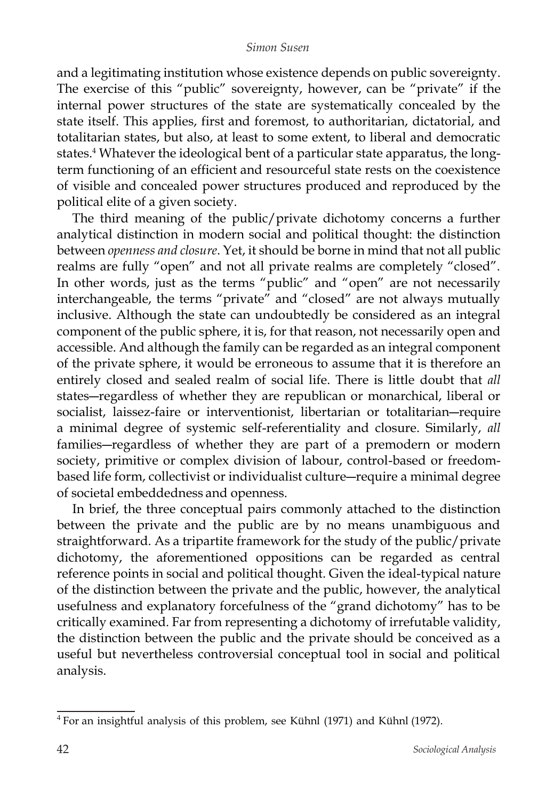and a legitimating institution whose existence depends on public sovereignty. The exercise of this "public" sovereignty, however, can be "private" if the internal power structures of the state are systematically concealed by the state itself. This applies, first and foremost, to authoritarian, dictatorial, and totalitarian states, but also, at least to some extent, to liberal and democratic states.<sup>4</sup> Whatever the ideological bent of a particular state apparatus, the longterm functioning of an efficient and resourceful state rests on the coexistence of visible and concealed power structures produced and reproduced by the political elite of a given society.

The third meaning of the public/private dichotomy concerns a further analytical distinction in modern social and political thought: the distinction between *openness and closure*. Yet, it should be borne in mind that not all public realms are fully "open" and not all private realms are completely "closed". In other words, just as the terms "public" and "open" are not necessarily interchangeable, the terms "private" and "closed" are not always mutually inclusive. Although the state can undoubtedly be considered as an integral component of the public sphere, it is, for that reason, not necessarily open and accessible. And although the family can be regarded as an integral component of the private sphere, it would be erroneous to assume that it is therefore an entirely closed and sealed realm of social life. There is little doubt that *all*  states―regardless of whether they are republican or monarchical, liberal or socialist, laissez-faire or interventionist, libertarian or totalitarian―require a minimal degree of systemic self-referentiality and closure. Similarly, *all*  families―regardless of whether they are part of a premodern or modern society, primitive or complex division of labour, control-based or freedombased life form, collectivist or individualist culture―require a minimal degree of societal embeddedness and openness.

In brief, the three conceptual pairs commonly attached to the distinction between the private and the public are by no means unambiguous and straightforward. As a tripartite framework for the study of the public/private dichotomy, the aforementioned oppositions can be regarded as central reference points in social and political thought. Given the ideal-typical nature of the distinction between the private and the public, however, the analytical usefulness and explanatory forcefulness of the "grand dichotomy" has to be critically examined. Far from representing a dichotomy of irrefutable validity, the distinction between the public and the private should be conceived as a useful but nevertheless controversial conceptual tool in social and political analysis.

<sup>4</sup> For an insightful analysis of this problem, see Kühnl (1971) and Kühnl (1972).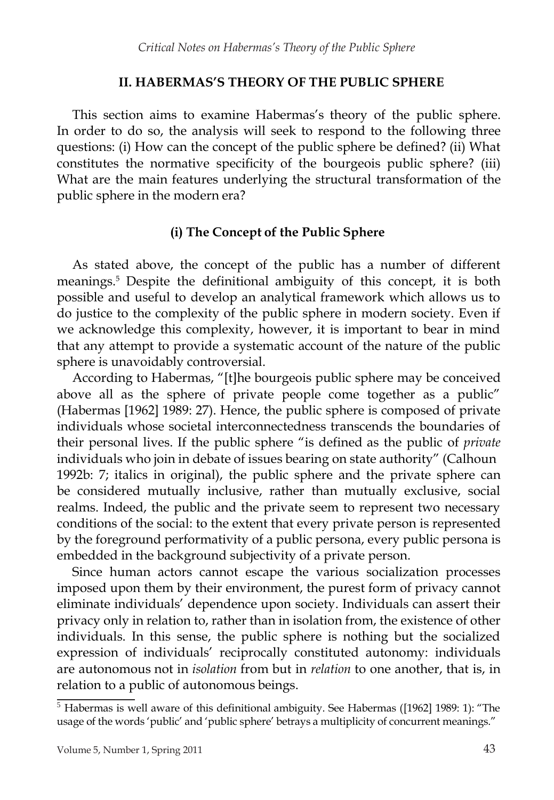## **II. HABERMAS'S THEORY OF THE PUBLIC SPHERE**

This section aims to examine Habermas's theory of the public sphere. In order to do so, the analysis will seek to respond to the following three questions: (i) How can the concept of the public sphere be defined? (ii) What constitutes the normative specificity of the bourgeois public sphere? (iii) What are the main features underlying the structural transformation of the public sphere in the modern era?

## **(i) The Concept of the Public Sphere**

As stated above, the concept of the public has a number of different meanings.<sup>5</sup> Despite the definitional ambiguity of this concept, it is both possible and useful to develop an analytical framework which allows us to do justice to the complexity of the public sphere in modern society. Even if we acknowledge this complexity, however, it is important to bear in mind that any attempt to provide a systematic account of the nature of the public sphere is unavoidably controversial.

According to Habermas, "[t]he bourgeois public sphere may be conceived above all as the sphere of private people come together as a public" (Habermas [1962] 1989: 27). Hence, the public sphere is composed of private individuals whose societal interconnectedness transcends the boundaries of their personal lives. If the public sphere "is defined as the public of *private*  individuals who join in debate of issues bearing on state authority" (Calhoun 1992b: 7; italics in original), the public sphere and the private sphere can be considered mutually inclusive, rather than mutually exclusive, social realms. Indeed, the public and the private seem to represent two necessary conditions of the social: to the extent that every private person is represented by the foreground performativity of a public persona, every public persona is embedded in the background subjectivity of a private person.

Since human actors cannot escape the various socialization processes imposed upon them by their environment, the purest form of privacy cannot eliminate individuals' dependence upon society. Individuals can assert their privacy only in relation to, rather than in isolation from, the existence of other individuals. In this sense, the public sphere is nothing but the socialized expression of individuals' reciprocally constituted autonomy: individuals are autonomous not in *isolation* from but in *relation* to one another, that is, in relation to a public of autonomous beings.

 $\overline{5}$  Habermas is well aware of this definitional ambiguity. See Habermas ([1962] 1989: 1): "The usage of the words 'public' and 'public sphere' betrays a multiplicity of concurrent meanings."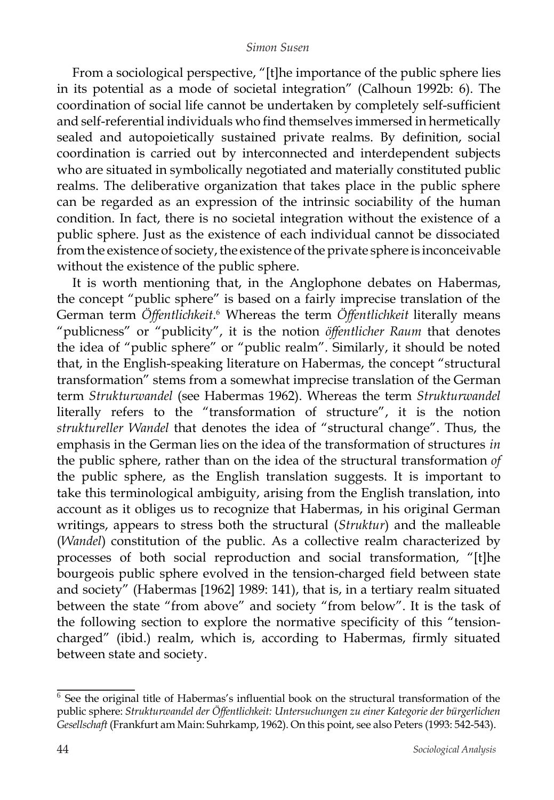From a sociological perspective, "[t]he importance of the public sphere lies in its potential as a mode of societal integration" (Calhoun 1992b: 6). The coordination of social life cannot be undertaken by completely self-sufficient and self-referential individuals who find themselves immersed in hermetically sealed and autopoietically sustained private realms. By definition, social coordination is carried out by interconnected and interdependent subjects who are situated in symbolically negotiated and materially constituted public realms. The deliberative organization that takes place in the public sphere can be regarded as an expression of the intrinsic sociability of the human condition. In fact, there is no societal integration without the existence of a public sphere. Just as the existence of each individual cannot be dissociated from the existence of society, the existence of the private sphere is inconceivable without the existence of the public sphere.

It is worth mentioning that, in the Anglophone debates on Habermas, the concept "public sphere" is based on a fairly imprecise translation of the German term *Öffentlichkeit.*<sup>6</sup> Whereas the term *Öffentlichkeit* literally means "publicness" or "publicity", it is the notion *öffentlicher Raum* that denotes the idea of "public sphere" or "public realm". Similarly, it should be noted that, in the English-speaking literature on Habermas, the concept "structural transformation" stems from a somewhat imprecise translation of the German term *Strukturwandel* (see Habermas 1962). Whereas the term *Strukturwandel*  literally refers to the "transformation of structure", it is the notion *struktureller Wandel* that denotes the idea of "structural change". Thus, the emphasis in the German lies on the idea of the transformation of structures *in*  the public sphere, rather than on the idea of the structural transformation *of* the public sphere, as the English translation suggests. It is important to take this terminological ambiguity, arising from the English translation, into account as it obliges us to recognize that Habermas, in his original German writings, appears to stress both the structural (*Struktur*) and the malleable (*Wandel*) constitution of the public. As a collective realm characterized by processes of both social reproduction and social transformation, "[t]he bourgeois public sphere evolved in the tension-charged field between state and society" (Habermas [1962] 1989: 141), that is, in a tertiary realm situated between the state "from above" and society "from below". It is the task of the following section to explore the normative specificity of this "tensioncharged" (ibid.) realm, which is, according to Habermas, firmly situated between state and society.

 $6$  See the original title of Habermas's influential book on the structural transformation of the public sphere: *Strukturwandel der Öffentlichkeit: Untersuchungen zu einer Kategorie der bürgerlichen Gesellschaft* (Frankfurt am Main: Suhrkamp, 1962). On this point, see also Peters (1993: 542-543).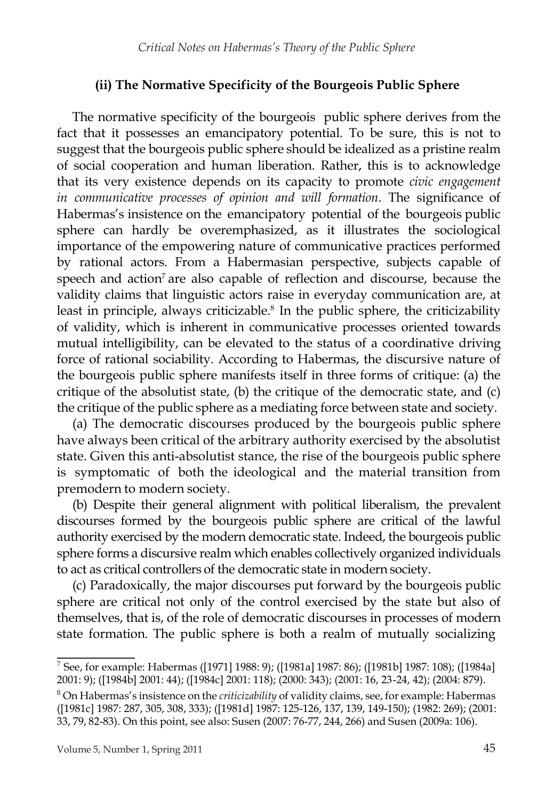## **(ii) The Normative Specificity of the Bourgeois Public Sphere**

The normative specificity of the bourgeois public sphere derives from the fact that it possesses an emancipatory potential. To be sure, this is not to suggest that the bourgeois public sphere should be idealized as a pristine realm of social cooperation and human liberation. Rather, this is to acknowledge that its very existence depends on its capacity to promote *civic engagement in communicative processes of opinion and will formation*. The significance of Habermas's insistence on the emancipatory potential of the bourgeois public sphere can hardly be overemphasized, as it illustrates the sociological importance of the empowering nature of communicative practices performed by rational actors. From a Habermasian perspective, subjects capable of speech and action<sup>7</sup> are also capable of reflection and discourse, because the validity claims that linguistic actors raise in everyday communication are, at least in principle, always criticizable.<sup>8</sup> In the public sphere, the criticizability of validity, which is inherent in communicative processes oriented towards mutual intelligibility, can be elevated to the status of a coordinative driving force of rational sociability. According to Habermas, the discursive nature of the bourgeois public sphere manifests itself in three forms of critique: (a) the critique of the absolutist state, (b) the critique of the democratic state, and (c) the critique of the public sphere as a mediating force between state and society.

(a) The democratic discourses produced by the bourgeois public sphere have always been critical of the arbitrary authority exercised by the absolutist state. Given this anti-absolutist stance, the rise of the bourgeois public sphere is symptomatic of both the ideological and the material transition from premodern to modern society.

(b) Despite their general alignment with political liberalism, the prevalent discourses formed by the bourgeois public sphere are critical of the lawful authority exercised by the modern democratic state. Indeed, the bourgeois public sphere forms a discursive realm which enables collectively organized individuals to act as critical controllers of the democratic state in modern society.

(c) Paradoxically, the major discourses put forward by the bourgeois public sphere are critical not only of the control exercised by the state but also of themselves, that is, of the role of democratic discourses in processes of modern state formation. The public sphere is both a realm of mutually socializing

<sup>7</sup> See, for example: Habermas ([1971] 1988: 9); ([1981a] 1987: 86); ([1981b] 1987: 108); ([1984a] 2001: 9); ([1984b] 2001: 44); ([1984c] 2001: 118); (2000: 343); (2001: 16, 23-24, 42); (2004: 879).

<sup>8</sup> On Habermas's insistence on the *criticizability* of validity claims, see, for example: Habermas ([1981c] 1987: 287, 305, 308, 333); ([1981d] 1987: 125-126, 137, 139, 149-150); (1982: 269); (2001: 33, 79, 82-83). On this point, see also: Susen (2007: 76-77, 244, 266) and Susen (2009a: 106).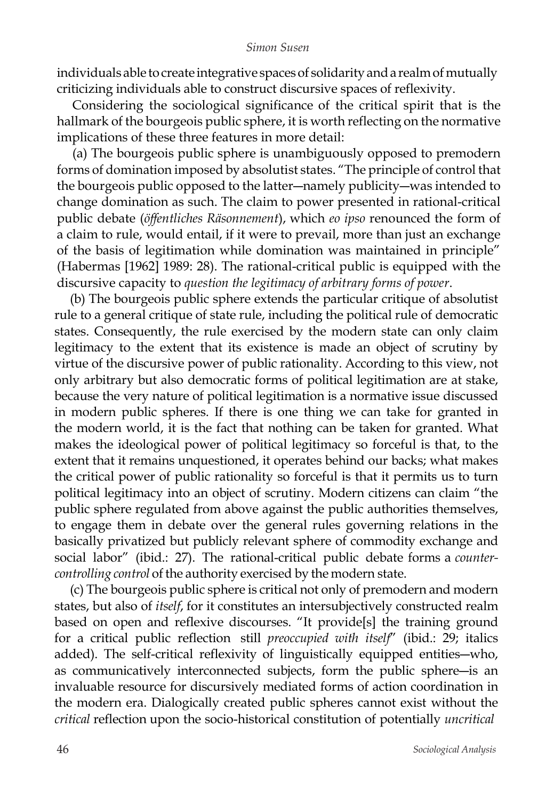individuals able to create integrative spaces of solidarity and a realm of mutually criticizing individuals able to construct discursive spaces of reflexivity.

Considering the sociological significance of the critical spirit that is the hallmark of the bourgeois public sphere, it is worth reflecting on the normative implications of these three features in more detail:

(a) The bourgeois public sphere is unambiguously opposed to premodern forms of domination imposed by absolutist states. "The principle of control that the bourgeois public opposed to the latter―namely publicity―was intended to change domination as such. The claim to power presented in rational-critical public debate (*öffentliches Räsonnement*), which *eo ipso* renounced the form of a claim to rule, would entail, if it were to prevail, more than just an exchange of the basis of legitimation while domination was maintained in principle" (Habermas [1962] 1989: 28). The rational-critical public is equipped with the discursive capacity to *question the legitimacy of arbitrary forms of power*.

(b) The bourgeois public sphere extends the particular critique of absolutist rule to a general critique of state rule, including the political rule of democratic states. Consequently, the rule exercised by the modern state can only claim legitimacy to the extent that its existence is made an object of scrutiny by virtue of the discursive power of public rationality. According to this view, not only arbitrary but also democratic forms of political legitimation are at stake, because the very nature of political legitimation is a normative issue discussed in modern public spheres. If there is one thing we can take for granted in the modern world, it is the fact that nothing can be taken for granted. What makes the ideological power of political legitimacy so forceful is that, to the extent that it remains unquestioned, it operates behind our backs; what makes the critical power of public rationality so forceful is that it permits us to turn political legitimacy into an object of scrutiny. Modern citizens can claim "the public sphere regulated from above against the public authorities themselves, to engage them in debate over the general rules governing relations in the basically privatized but publicly relevant sphere of commodity exchange and social labor" (ibid.: 27). The rational-critical public debate forms a *countercontrolling control* of the authority exercised by the modern state.

(c) The bourgeois public sphere is critical not only of premodern and modern states, but also of *itself*, for it constitutes an intersubjectively constructed realm based on open and reflexive discourses. "It provide[s] the training ground for a critical public reflection still *preoccupied with itself*" (ibid.: 29; italics added). The self-critical reflexivity of linguistically equipped entities―who, as communicatively interconnected subjects, form the public sphere―is an invaluable resource for discursively mediated forms of action coordination in the modern era. Dialogically created public spheres cannot exist without the *critical* reflection upon the socio-historical constitution of potentially *uncritical*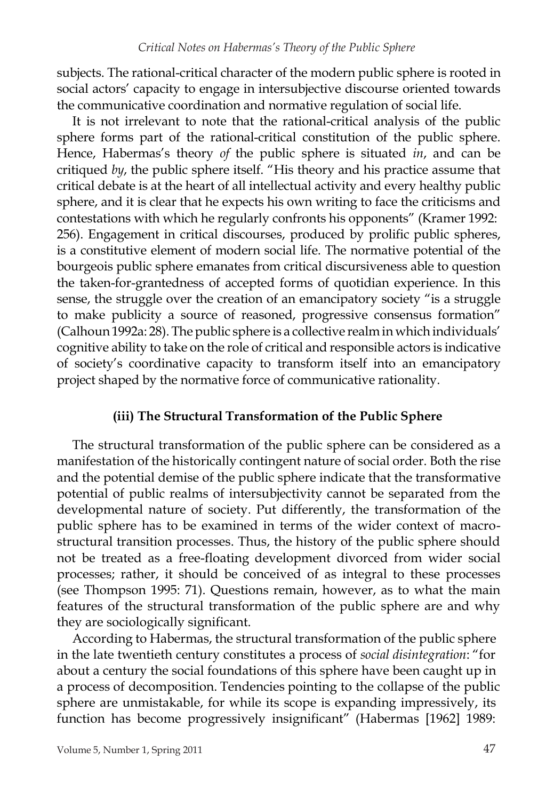subjects. The rational-critical character of the modern public sphere is rooted in social actors' capacity to engage in intersubjective discourse oriented towards the communicative coordination and normative regulation of social life.

It is not irrelevant to note that the rational-critical analysis of the public sphere forms part of the rational-critical constitution of the public sphere. Hence, Habermas's theory *of* the public sphere is situated *in*, and can be critiqued *by*, the public sphere itself. "His theory and his practice assume that critical debate is at the heart of all intellectual activity and every healthy public sphere, and it is clear that he expects his own writing to face the criticisms and contestations with which he regularly confronts his opponents" (Kramer 1992: 256). Engagement in critical discourses, produced by prolific public spheres, is a constitutive element of modern social life. The normative potential of the bourgeois public sphere emanates from critical discursiveness able to question the taken-for-grantedness of accepted forms of quotidian experience. In this sense, the struggle over the creation of an emancipatory society "is a struggle to make publicity a source of reasoned, progressive consensus formation" (Calhoun 1992a: 28). The public sphere is a collective realmin which individuals' cognitive ability to take on the role of critical and responsible actors is indicative of society's coordinative capacity to transform itself into an emancipatory project shaped by the normative force of communicative rationality.

### **(iii) The Structural Transformation of the Public Sphere**

The structural transformation of the public sphere can be considered as a manifestation of the historically contingent nature of social order. Both the rise and the potential demise of the public sphere indicate that the transformative potential of public realms of intersubjectivity cannot be separated from the developmental nature of society. Put differently, the transformation of the public sphere has to be examined in terms of the wider context of macrostructural transition processes. Thus, the history of the public sphere should not be treated as a free-floating development divorced from wider social processes; rather, it should be conceived of as integral to these processes (see Thompson 1995: 71). Questions remain, however, as to what the main features of the structural transformation of the public sphere are and why they are sociologically significant.

According to Habermas, the structural transformation of the public sphere in the late twentieth century constitutes a process of *social disintegration*: "for about a century the social foundations of this sphere have been caught up in a process of decomposition. Tendencies pointing to the collapse of the public sphere are unmistakable, for while its scope is expanding impressively, its function has become progressively insignificant" (Habermas [1962] 1989: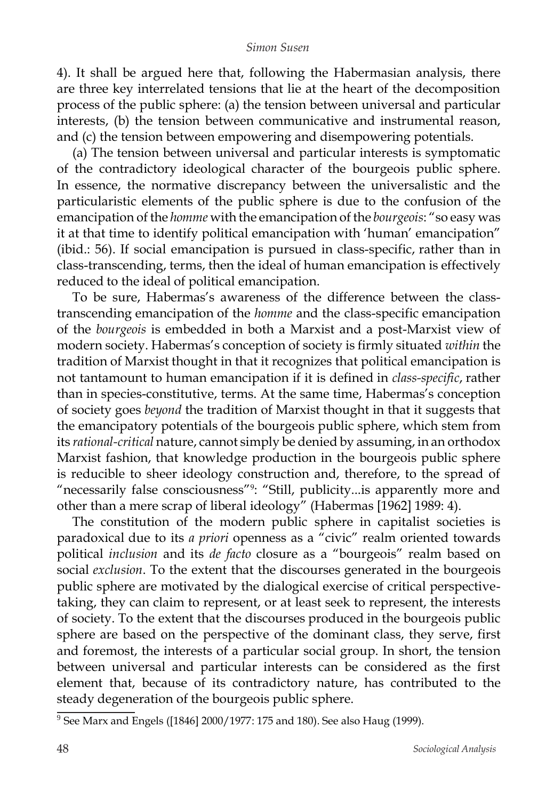4). It shall be argued here that, following the Habermasian analysis, there are three key interrelated tensions that lie at the heart of the decomposition process of the public sphere: (a) the tension between universal and particular interests, (b) the tension between communicative and instrumental reason, and (c) the tension between empowering and disempowering potentials.

(a) The tension between universal and particular interests is symptomatic of the contradictory ideological character of the bourgeois public sphere. In essence, the normative discrepancy between the universalistic and the particularistic elements of the public sphere is due to the confusion of the emancipation of the *homme* with the emancipation of the *bourgeois*: "so easy was it at that time to identify political emancipation with 'human' emancipation" (ibid.: 56). If social emancipation is pursued in class-specific, rather than in class-transcending, terms, then the ideal of human emancipation is effectively reduced to the ideal of political emancipation.

To be sure, Habermas's awareness of the difference between the classtranscending emancipation of the *homme* and the class-specific emancipation of the *bourgeois* is embedded in both a Marxist and a post-Marxist view of modern society. Habermas's conception of society is firmly situated *within* the tradition of Marxist thought in that it recognizes that political emancipation is not tantamount to human emancipation if it is defined in *class-specific*, rather than in species-constitutive, terms. At the same time, Habermas's conception of society goes *beyond* the tradition of Marxist thought in that it suggests that the emancipatory potentials of the bourgeois public sphere, which stem from its *rational-critical* nature, cannot simply be denied by assuming, in an orthodox Marxist fashion, that knowledge production in the bourgeois public sphere is reducible to sheer ideology construction and, therefore, to the spread of "necessarily false consciousness"<sup>9</sup> : "Still, publicity...is apparently more and other than a mere scrap of liberal ideology" (Habermas [1962] 1989: 4).

The constitution of the modern public sphere in capitalist societies is paradoxical due to its *a priori* openness as a "civic" realm oriented towards political *inclusion* and its *de facto* closure as a "bourgeois" realm based on social *exclusion*. To the extent that the discourses generated in the bourgeois public sphere are motivated by the dialogical exercise of critical perspectivetaking, they can claim to represent, or at least seek to represent, the interests of society. To the extent that the discourses produced in the bourgeois public sphere are based on the perspective of the dominant class, they serve, first and foremost, the interests of a particular social group. In short, the tension between universal and particular interests can be considered as the first element that, because of its contradictory nature, has contributed to the steady degeneration of the bourgeois public sphere.

 $9^9$  See Marx and Engels ([1846] 2000/1977: 175 and 180). See also Haug (1999).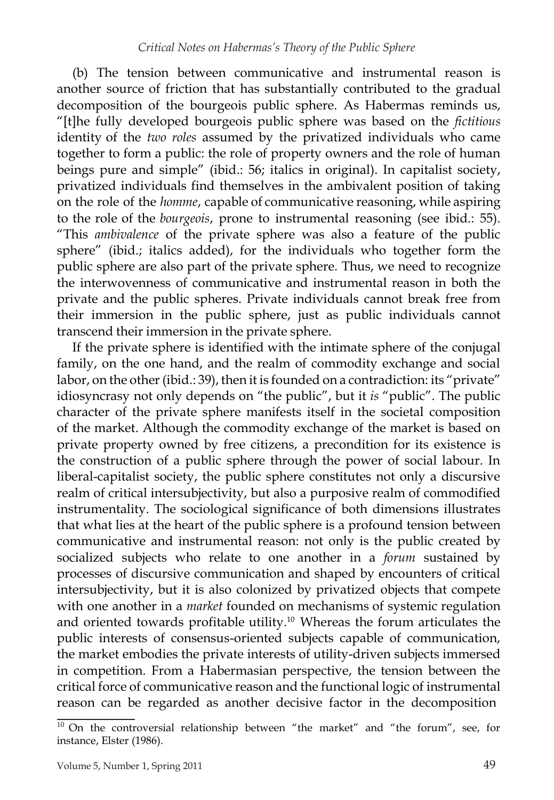(b) The tension between communicative and instrumental reason is another source of friction that has substantially contributed to the gradual decomposition of the bourgeois public sphere. As Habermas reminds us, "[t]he fully developed bourgeois public sphere was based on the *fictitious* identity of the *two roles* assumed by the privatized individuals who came together to form a public: the role of property owners and the role of human beings pure and simple" (ibid.: 56; italics in original). In capitalist society, privatized individuals find themselves in the ambivalent position of taking on the role of the *homme*, capable of communicative reasoning, while aspiring to the role of the *bourgeois*, prone to instrumental reasoning (see ibid.: 55). "This *ambivalence* of the private sphere was also a feature of the public sphere" (ibid.; italics added), for the individuals who together form the public sphere are also part of the private sphere. Thus, we need to recognize the interwovenness of communicative and instrumental reason in both the private and the public spheres. Private individuals cannot break free from their immersion in the public sphere, just as public individuals cannot transcend their immersion in the private sphere.

If the private sphere is identified with the intimate sphere of the conjugal family, on the one hand, and the realm of commodity exchange and social labor, on the other (ibid.: 39), then it is founded on a contradiction: its "private" idiosyncrasy not only depends on "the public", but it *is* "public". The public character of the private sphere manifests itself in the societal composition of the market. Although the commodity exchange of the market is based on private property owned by free citizens, a precondition for its existence is the construction of a public sphere through the power of social labour. In liberal-capitalist society, the public sphere constitutes not only a discursive realm of critical intersubjectivity, but also a purposive realm of commodified instrumentality. The sociological significance of both dimensions illustrates that what lies at the heart of the public sphere is a profound tension between communicative and instrumental reason: not only is the public created by socialized subjects who relate to one another in a *forum* sustained by processes of discursive communication and shaped by encounters of critical intersubjectivity, but it is also colonized by privatized objects that compete with one another in a *market* founded on mechanisms of systemic regulation and oriented towards profitable utility.<sup>10</sup> Whereas the forum articulates the public interests of consensus-oriented subjects capable of communication, the market embodies the private interests of utility-driven subjects immersed in competition. From a Habermasian perspective, the tension between the critical force of communicative reason and the functional logic of instrumental reason can be regarded as another decisive factor in the decomposition

 $10$  On the controversial relationship between "the market" and "the forum", see, for instance, Elster (1986).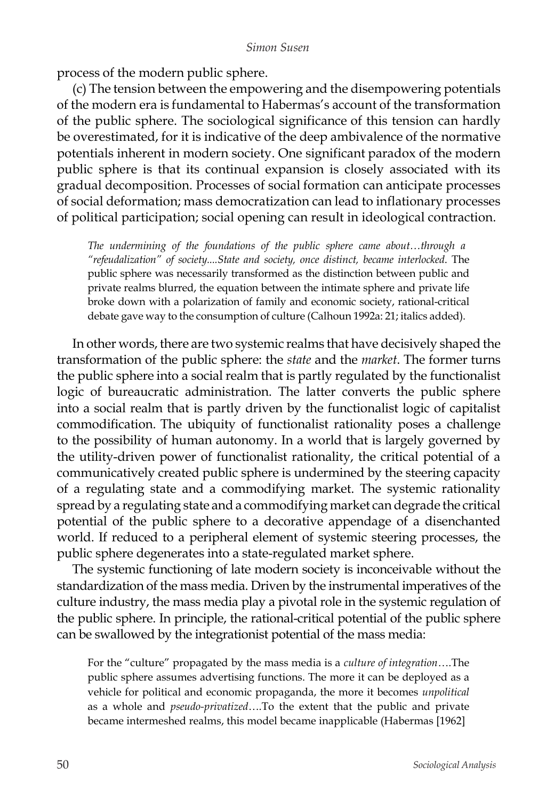process of the modern public sphere.

(c) The tension between the empowering and the disempowering potentials of the modern era is fundamental to Habermas's account of the transformation of the public sphere. The sociological significance of this tension can hardly be overestimated, for it is indicative of the deep ambivalence of the normative potentials inherent in modern society. One significant paradox of the modern public sphere is that its continual expansion is closely associated with its gradual decomposition. Processes of social formation can anticipate processes of social deformation; mass democratization can lead to inflationary processes of political participation; social opening can result in ideological contraction.

*The undermining of the foundations of the public sphere came about…through a "refeudalization" of society....State and society, once distinct, became interlocked*. The public sphere was necessarily transformed as the distinction between public and private realms blurred, the equation between the intimate sphere and private life broke down with a polarization of family and economic society, rational-critical debate gave way to the consumption of culture (Calhoun 1992a: 21; italics added).

In other words, there are two systemic realms that have decisively shaped the transformation of the public sphere: the *state* and the *market*. The former turns the public sphere into a social realm that is partly regulated by the functionalist logic of bureaucratic administration. The latter converts the public sphere into a social realm that is partly driven by the functionalist logic of capitalist commodification. The ubiquity of functionalist rationality poses a challenge to the possibility of human autonomy. In a world that is largely governed by the utility-driven power of functionalist rationality, the critical potential of a communicatively created public sphere is undermined by the steering capacity of a regulating state and a commodifying market. The systemic rationality spread by a regulating state and a commodifying market can degrade the critical potential of the public sphere to a decorative appendage of a disenchanted world. If reduced to a peripheral element of systemic steering processes, the public sphere degenerates into a state-regulated market sphere.

The systemic functioning of late modern society is inconceivable without the standardization of the mass media. Driven by the instrumental imperatives of the culture industry, the mass media play a pivotal role in the systemic regulation of the public sphere. In principle, the rational-critical potential of the public sphere can be swallowed by the integrationist potential of the mass media:

For the "culture" propagated by the mass media is a *culture of integration*….The public sphere assumes advertising functions. The more it can be deployed as a vehicle for political and economic propaganda, the more it becomes *unpolitical*  as a whole and *pseudo-privatized*….To the extent that the public and private became intermeshed realms, this model became inapplicable (Habermas [1962]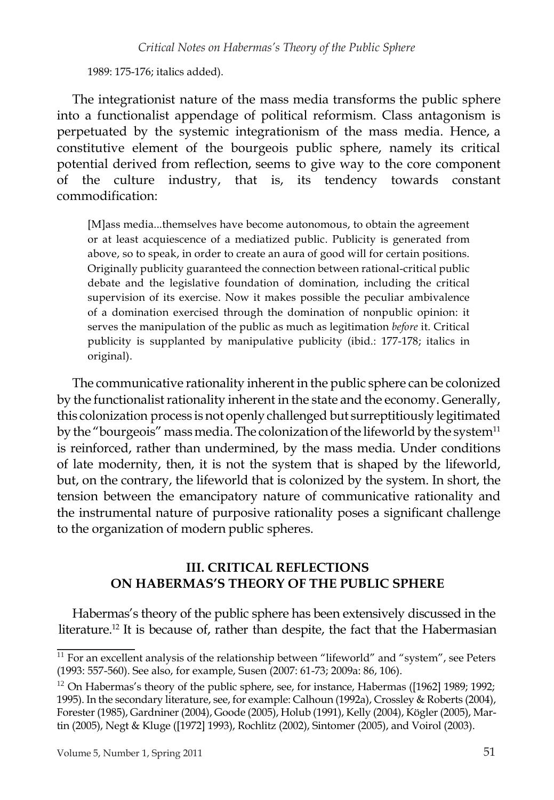1989: 175-176; italics added).

The integrationist nature of the mass media transforms the public sphere into a functionalist appendage of political reformism. Class antagonism is perpetuated by the systemic integrationism of the mass media. Hence, a constitutive element of the bourgeois public sphere, namely its critical potential derived from reflection, seems to give way to the core component of the culture industry, that is, its tendency towards constant commodification:

[M]ass media...themselves have become autonomous, to obtain the agreement or at least acquiescence of a mediatized public. Publicity is generated from above, so to speak, in order to create an aura of good will for certain positions. Originally publicity guaranteed the connection between rational-critical public debate and the legislative foundation of domination, including the critical supervision of its exercise. Now it makes possible the peculiar ambivalence of a domination exercised through the domination of nonpublic opinion: it serves the manipulation of the public as much as legitimation *before* it. Critical publicity is supplanted by manipulative publicity (ibid.: 177-178; italics in original).

The communicative rationality inherent in the public sphere can be colonized by the functionalist rationality inherent in the state and the economy. Generally, this colonization process is not openly challenged but surreptitiously legitimated by the "bourgeois" mass media. The colonization of the lifeworld by the system<sup>11</sup> is reinforced, rather than undermined, by the mass media. Under conditions of late modernity, then, it is not the system that is shaped by the lifeworld, but, on the contrary, the lifeworld that is colonized by the system. In short, the tension between the emancipatory nature of communicative rationality and the instrumental nature of purposive rationality poses a significant challenge to the organization of modern public spheres.

## **III. CRITICAL REFLECTIONS ON HABERMAS'S THEORY OF THE PUBLIC SPHERE**

Habermas's theory of the public sphere has been extensively discussed in the literature.<sup>12</sup> It is because of, rather than despite, the fact that the Habermasian

 $^{11}$  For an excellent analysis of the relationship between "lifeworld" and "system", see Peters (1993: 557-560). See also, for example, Susen (2007: 61-73; 2009a: 86, 106).

 $12$  On Habermas's theory of the public sphere, see, for instance, Habermas ([1962] 1989; 1992; 1995). In the secondary literature, see, for example: Calhoun (1992a), Crossley & Roberts (2004), Forester(1985), Gardniner (2004), Goode (2005), Holub (1991), Kelly (2004), Kögler(2005), Martin (2005), Negt & Kluge ([1972] 1993), Rochlitz (2002), Sintomer (2005), and Voirol (2003).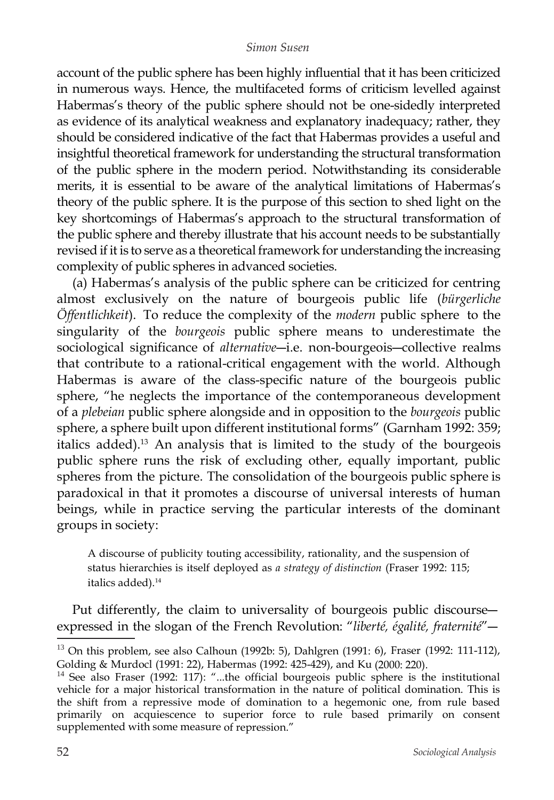account of the public sphere has been highly influential that it has been criticized in numerous ways. Hence, the multifaceted forms of criticism levelled against Habermas's theory of the public sphere should not be one-sidedly interpreted as evidence of its analytical weakness and explanatory inadequacy; rather, they should be considered indicative of the fact that Habermas provides a useful and insightful theoretical framework for understanding the structural transformation of the public sphere in the modern period. Notwithstanding its considerable merits, it is essential to be aware of the analytical limitations of Habermas's theory of the public sphere. It is the purpose of this section to shed light on the key shortcomings of Habermas's approach to the structural transformation of the public sphere and thereby illustrate that his account needs to be substantially revised if it is to serve as a theoretical framework for understanding the increasing complexity of public spheres in advanced societies.

(a) Habermas's analysis of the public sphere can be criticized for centring almost exclusively on the nature of bourgeois public life (*bürgerliche Öffentlichkeit*). To reduce the complexity of the *modern* public sphere to the singularity of the *bourgeois* public sphere means to underestimate the sociological significance of *alternative*―i.e. non-bourgeois―collective realms that contribute to a rational-critical engagement with the world. Although Habermas is aware of the class-specific nature of the bourgeois public sphere, "he neglects the importance of the contemporaneous development of a *plebeian* public sphere alongside and in opposition to the *bourgeois* public sphere, a sphere built upon different institutional forms" (Garnham 1992: 359; italics added). <sup>13</sup> An analysis that is limited to the study of the bourgeois public sphere runs the risk of excluding other, equally important, public spheres from the picture. The consolidation of the bourgeois public sphere is paradoxical in that it promotes a discourse of universal interests of human beings, while in practice serving the particular interests of the dominant groups in society:

A discourse of publicity touting accessibility, rationality, and the suspension of status hierarchies is itself deployed as *a strategy of distinction* (Fraser 1992: 115; italics added).<sup>14</sup>

Put differently, the claim to universality of bourgeois public discourse― expressed in the slogan of the French Revolution: "*liberté, égalité, fraternité*"―

 $13$  On this problem, see also Calhoun (1992b: 5), Dahlgren (1991: 6), Fraser (1992: 111-112), Golding & Murdocl (1991: 22), Habermas (1992: 425-429), and Ku (2000: 220).

<sup>&</sup>lt;sup>14</sup> See also Fraser (1992: 117): "...the official bourgeois public sphere is the institutional vehicle for a major historical transformation in the nature of political domination. This is the shift from a repressive mode of domination to a hegemonic one, from rule based primarily on acquiescence to superior force to rule based primarily on consent supplemented with some measure of repression."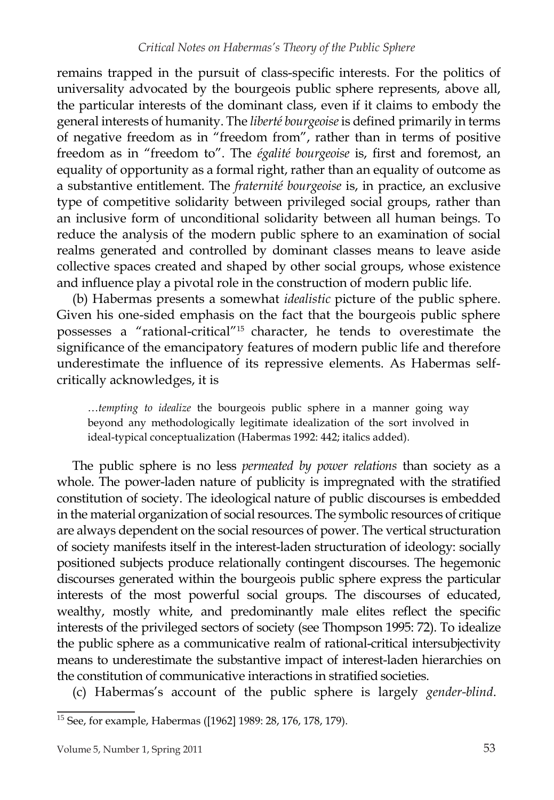remains trapped in the pursuit of class-specific interests. For the politics of universality advocated by the bourgeois public sphere represents, above all, the particular interests of the dominant class, even if it claims to embody the general interests of humanity. The *liberté bourgeoise*is defined primarily in terms of negative freedom as in "freedom from", rather than in terms of positive freedom as in "freedom to". The *égalité bourgeoise* is, first and foremost, an equality of opportunity as a formal right, rather than an equality of outcome as a substantive entitlement. The *fraternité bourgeoise* is, in practice, an exclusive type of competitive solidarity between privileged social groups, rather than an inclusive form of unconditional solidarity between all human beings. To reduce the analysis of the modern public sphere to an examination of social realms generated and controlled by dominant classes means to leave aside collective spaces created and shaped by other social groups, whose existence and influence play a pivotal role in the construction of modern public life.

(b) Habermas presents a somewhat *idealistic* picture of the public sphere. Given his one-sided emphasis on the fact that the bourgeois public sphere possesses a "rational-critical"<sup>15</sup> character, he tends to overestimate the significance of the emancipatory features of modern public life and therefore underestimate the influence of its repressive elements. As Habermas selfcritically acknowledges, it is

…*tempting to idealize* the bourgeois public sphere in a manner going way beyond any methodologically legitimate idealization of the sort involved in ideal-typical conceptualization (Habermas 1992: 442; italics added).

The public sphere is no less *permeated by power relations* than society as a whole. The power-laden nature of publicity is impregnated with the stratified constitution of society. The ideological nature of public discourses is embedded in the material organization of social resources. The symbolic resources of critique are always dependent on the social resources of power. The vertical structuration of society manifests itself in the interest-laden structuration of ideology: socially positioned subjects produce relationally contingent discourses. The hegemonic discourses generated within the bourgeois public sphere express the particular interests of the most powerful social groups. The discourses of educated, wealthy, mostly white, and predominantly male elites reflect the specific interests of the privileged sectors of society (see Thompson 1995: 72). To idealize the public sphere as a communicative realm of rational-critical intersubjectivity means to underestimate the substantive impact of interest-laden hierarchies on the constitution of communicative interactions in stratified societies.

(c) Habermas's account of the public sphere is largely *gender-blind*.

<sup>15</sup> See, for example, Habermas ([1962] 1989: 28, 176, 178, 179).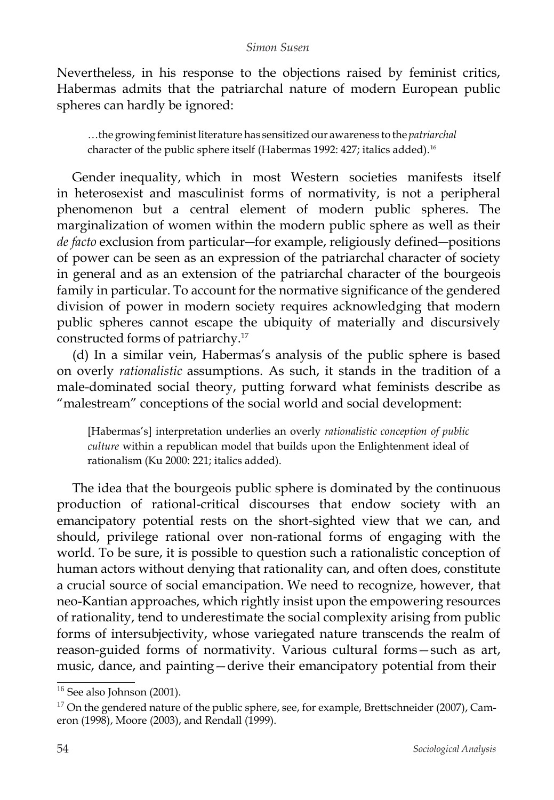Nevertheless, in his response to the objections raised by feminist critics, Habermas admits that the patriarchal nature of modern European public spheres can hardly be ignored:

…the growing feministliterature has sensitized our awareness to the *patriarchal* character of the public sphere itself (Habermas 1992: 427; italics added).<sup>16</sup>

Gender inequality, which in most Western societies manifests itself in heterosexist and masculinist forms of normativity, is not a peripheral phenomenon but a central element of modern public spheres. The marginalization of women within the modern public sphere as well as their *de facto* exclusion from particular―for example, religiously defined―positions of power can be seen as an expression of the patriarchal character of society in general and as an extension of the patriarchal character of the bourgeois family in particular. To account for the normative significance of the gendered division of power in modern society requires acknowledging that modern public spheres cannot escape the ubiquity of materially and discursively constructed forms of patriarchy.<sup>17</sup>

(d) In a similar vein, Habermas's analysis of the public sphere is based on overly *rationalistic* assumptions. As such, it stands in the tradition of a male-dominated social theory, putting forward what feminists describe as "malestream" conceptions of the social world and social development:

[Habermas's] interpretation underlies an overly *rationalistic conception of public culture* within a republican model that builds upon the Enlightenment ideal of rationalism (Ku 2000: 221; italics added).

The idea that the bourgeois public sphere is dominated by the continuous production of rational-critical discourses that endow society with an emancipatory potential rests on the short-sighted view that we can, and should, privilege rational over non-rational forms of engaging with the world. To be sure, it is possible to question such a rationalistic conception of human actors without denying that rationality can, and often does, constitute a crucial source of social emancipation. We need to recognize, however, that neo-Kantian approaches, which rightly insist upon the empowering resources of rationality, tend to underestimate the social complexity arising from public forms of intersubjectivity, whose variegated nature transcends the realm of reason-guided forms of normativity. Various cultural forms—such as art, music, dance, and painting—derive their emancipatory potential from their

<sup>&</sup>lt;sup>16</sup> See also Johnson (2001).

 $17$  On the gendered nature of the public sphere, see, for example, Brettschneider (2007), Cameron (1998), Moore (2003), and Rendall (1999).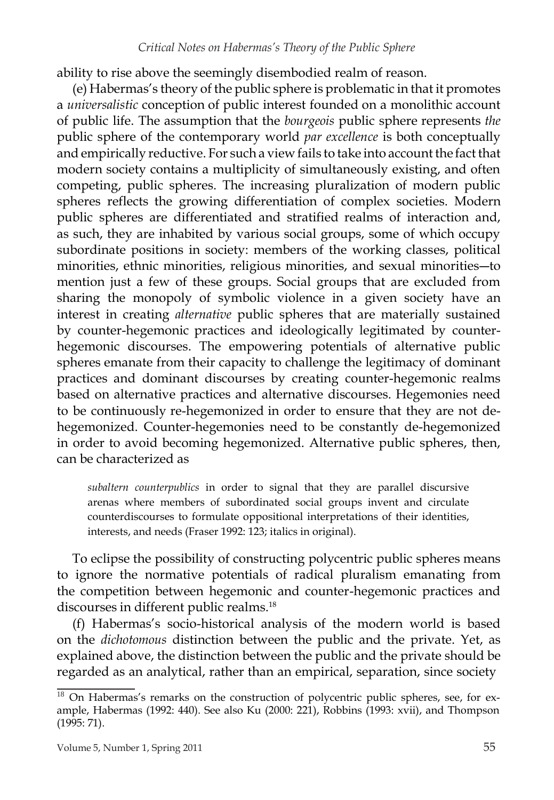ability to rise above the seemingly disembodied realm of reason.

(e) Habermas's theory of the public sphere is problematic in that it promotes a *universalistic* conception of public interest founded on a monolithic account of public life. The assumption that the *bourgeois* public sphere represents *the*  public sphere of the contemporary world *par excellence* is both conceptually and empirically reductive. For such a view fails to take into account the fact that modern society contains a multiplicity of simultaneously existing, and often competing, public spheres. The increasing pluralization of modern public spheres reflects the growing differentiation of complex societies. Modern public spheres are differentiated and stratified realms of interaction and, as such, they are inhabited by various social groups, some of which occupy subordinate positions in society: members of the working classes, political minorities, ethnic minorities, religious minorities, and sexual minorities―to mention just a few of these groups. Social groups that are excluded from sharing the monopoly of symbolic violence in a given society have an interest in creating *alternative* public spheres that are materially sustained by counter-hegemonic practices and ideologically legitimated by counterhegemonic discourses. The empowering potentials of alternative public spheres emanate from their capacity to challenge the legitimacy of dominant practices and dominant discourses by creating counter-hegemonic realms based on alternative practices and alternative discourses. Hegemonies need to be continuously re-hegemonized in order to ensure that they are not dehegemonized. Counter-hegemonies need to be constantly de-hegemonized in order to avoid becoming hegemonized. Alternative public spheres, then, can be characterized as

*subaltern counterpublics* in order to signal that they are parallel discursive arenas where members of subordinated social groups invent and circulate counterdiscourses to formulate oppositional interpretations of their identities, interests, and needs (Fraser 1992: 123; italics in original).

To eclipse the possibility of constructing polycentric public spheres means to ignore the normative potentials of radical pluralism emanating from the competition between hegemonic and counter-hegemonic practices and discourses in different public realms.<sup>18</sup>

(f) Habermas's socio-historical analysis of the modern world is based on the *dichotomous* distinction between the public and the private. Yet, as explained above, the distinction between the public and the private should be regarded as an analytical, rather than an empirical, separation, since society

 $18$  On Habermas's remarks on the construction of polycentric public spheres, see, for example, Habermas (1992: 440). See also Ku (2000: 221), Robbins (1993: xvii), and Thompson (1995: 71).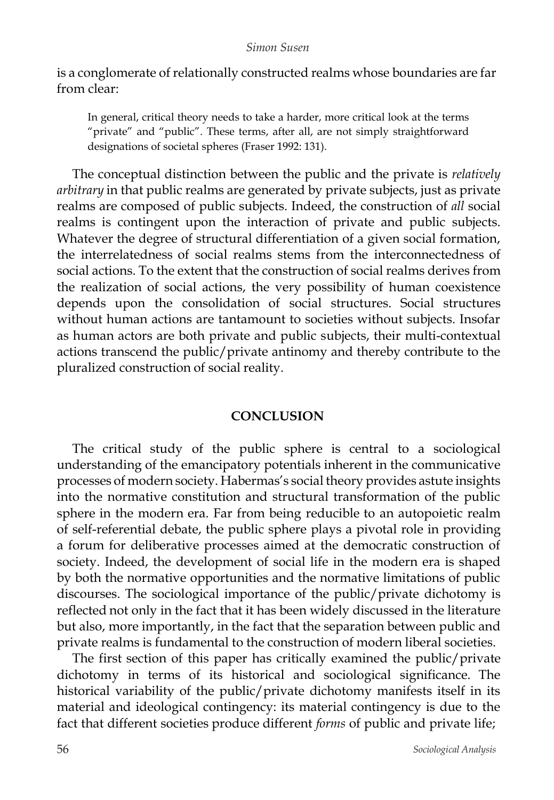is a conglomerate of relationally constructed realms whose boundaries are far from clear:

In general, critical theory needs to take a harder, more critical look at the terms "private" and "public". These terms, after all, are not simply straightforward designations of societal spheres (Fraser 1992: 131).

The conceptual distinction between the public and the private is *relatively arbitrary* in that public realms are generated by private subjects, just as private realms are composed of public subjects. Indeed, the construction of *all* social realms is contingent upon the interaction of private and public subjects. Whatever the degree of structural differentiation of a given social formation, the interrelatedness of social realms stems from the interconnectedness of social actions. To the extent that the construction of social realms derives from the realization of social actions, the very possibility of human coexistence depends upon the consolidation of social structures. Social structures without human actions are tantamount to societies without subjects. Insofar as human actors are both private and public subjects, their multi-contextual actions transcend the public/private antinomy and thereby contribute to the pluralized construction of social reality.

### **CONCLUSION**

The critical study of the public sphere is central to a sociological understanding of the emancipatory potentials inherent in the communicative processes of modern society. Habermas's social theory provides astute insights into the normative constitution and structural transformation of the public sphere in the modern era. Far from being reducible to an autopoietic realm of self-referential debate, the public sphere plays a pivotal role in providing a forum for deliberative processes aimed at the democratic construction of society. Indeed, the development of social life in the modern era is shaped by both the normative opportunities and the normative limitations of public discourses. The sociological importance of the public/private dichotomy is reflected not only in the fact that it has been widely discussed in the literature but also, more importantly, in the fact that the separation between public and private realms is fundamental to the construction of modern liberal societies.

The first section of this paper has critically examined the public/private dichotomy in terms of its historical and sociological significance. The historical variability of the public/private dichotomy manifests itself in its material and ideological contingency: its material contingency is due to the fact that different societies produce different *forms* of public and private life;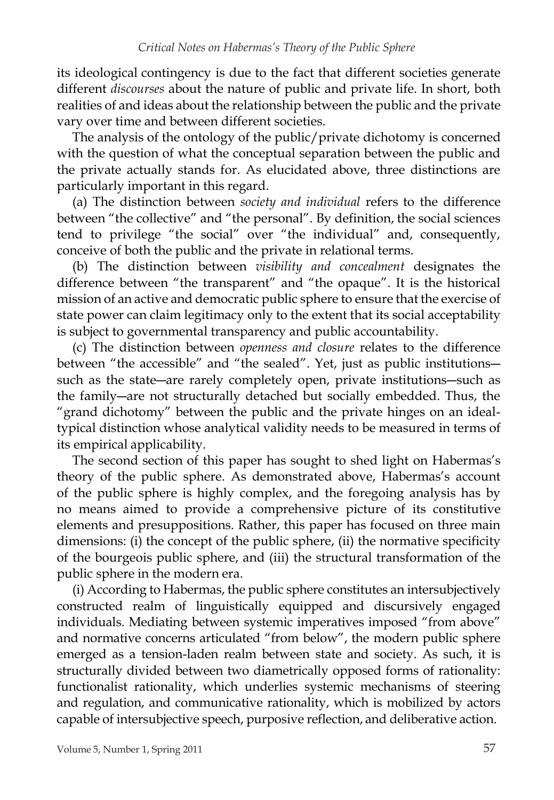its ideological contingency is due to the fact that different societies generate different *discourses* about the nature of public and private life. In short, both realities of and ideas about the relationship between the public and the private vary over time and between different societies.

The analysis of the ontology of the public/private dichotomy is concerned with the question of what the conceptual separation between the public and the private actually stands for. As elucidated above, three distinctions are particularly important in this regard.

(a) The distinction between *society and individual* refers to the difference between "the collective" and "the personal". By definition, the social sciences tend to privilege "the social" over "the individual" and, consequently, conceive of both the public and the private in relational terms.

(b) The distinction between *visibility and concealment* designates the difference between "the transparent" and "the opaque". It is the historical mission of an active and democratic public sphere to ensure that the exercise of state power can claim legitimacy only to the extent that its social acceptability is subject to governmental transparency and public accountability.

(c) The distinction between *openness and closure* relates to the difference between "the accessible" and "the sealed". Yet, just as public institutions― such as the state―are rarely completely open, private institutions―such as the family―are not structurally detached but socially embedded. Thus, the "grand dichotomy" between the public and the private hinges on an idealtypical distinction whose analytical validity needs to be measured in terms of its empirical applicability.

The second section of this paper has sought to shed light on Habermas's theory of the public sphere. As demonstrated above, Habermas's account of the public sphere is highly complex, and the foregoing analysis has by no means aimed to provide a comprehensive picture of its constitutive elements and presuppositions. Rather, this paper has focused on three main dimensions: (i) the concept of the public sphere, (ii) the normative specificity of the bourgeois public sphere, and (iii) the structural transformation of the public sphere in the modern era.

(i) According to Habermas, the public sphere constitutes an intersubjectively constructed realm of linguistically equipped and discursively engaged individuals. Mediating between systemic imperatives imposed "from above" and normative concerns articulated "from below", the modern public sphere emerged as a tension-laden realm between state and society. As such, it is structurally divided between two diametrically opposed forms of rationality: functionalist rationality, which underlies systemic mechanisms of steering and regulation, and communicative rationality, which is mobilized by actors capable of intersubjective speech, purposive reflection, and deliberative action.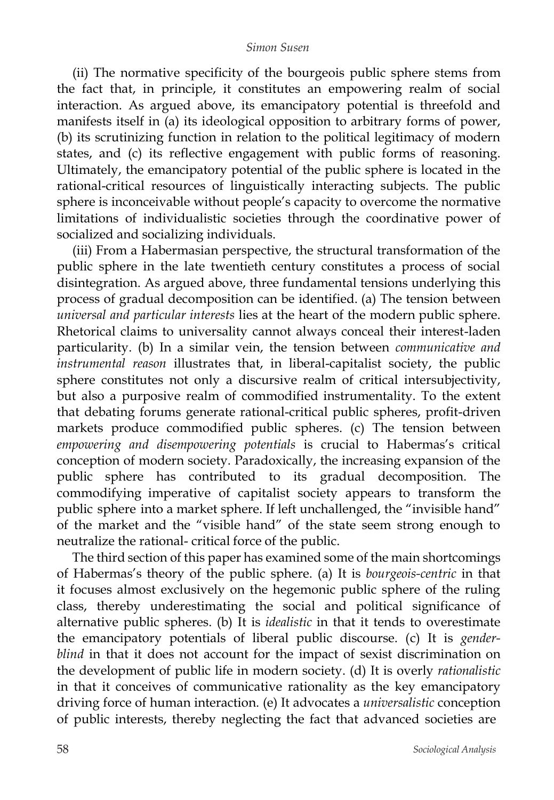(ii) The normative specificity of the bourgeois public sphere stems from the fact that, in principle, it constitutes an empowering realm of social interaction. As argued above, its emancipatory potential is threefold and manifests itself in (a) its ideological opposition to arbitrary forms of power, (b) its scrutinizing function in relation to the political legitimacy of modern states, and (c) its reflective engagement with public forms of reasoning. Ultimately, the emancipatory potential of the public sphere is located in the rational-critical resources of linguistically interacting subjects. The public sphere is inconceivable without people's capacity to overcome the normative limitations of individualistic societies through the coordinative power of socialized and socializing individuals.

(iii) From a Habermasian perspective, the structural transformation of the public sphere in the late twentieth century constitutes a process of social disintegration. As argued above, three fundamental tensions underlying this process of gradual decomposition can be identified. (a) The tension between *universal and particular interests* lies at the heart of the modern public sphere. Rhetorical claims to universality cannot always conceal their interest-laden particularity. (b) In a similar vein, the tension between *communicative and instrumental reason* illustrates that, in liberal-capitalist society, the public sphere constitutes not only a discursive realm of critical intersubjectivity, but also a purposive realm of commodified instrumentality. To the extent that debating forums generate rational-critical public spheres, profit-driven markets produce commodified public spheres. (c) The tension between *empowering and disempowering potentials* is crucial to Habermas's critical conception of modern society. Paradoxically, the increasing expansion of the public sphere has contributed to its gradual decomposition. The commodifying imperative of capitalist society appears to transform the public sphere into a market sphere. If left unchallenged, the "invisible hand" of the market and the "visible hand" of the state seem strong enough to neutralize the rational- critical force of the public.

The third section of this paper has examined some of the main shortcomings of Habermas's theory of the public sphere. (a) It is *bourgeois-centric* in that it focuses almost exclusively on the hegemonic public sphere of the ruling class, thereby underestimating the social and political significance of alternative public spheres. (b) It is *idealistic* in that it tends to overestimate the emancipatory potentials of liberal public discourse. (c) It is *genderblind* in that it does not account for the impact of sexist discrimination on the development of public life in modern society. (d) It is overly *rationalistic*  in that it conceives of communicative rationality as the key emancipatory driving force of human interaction. (e) It advocates a *universalistic* conception of public interests, thereby neglecting the fact that advanced societies are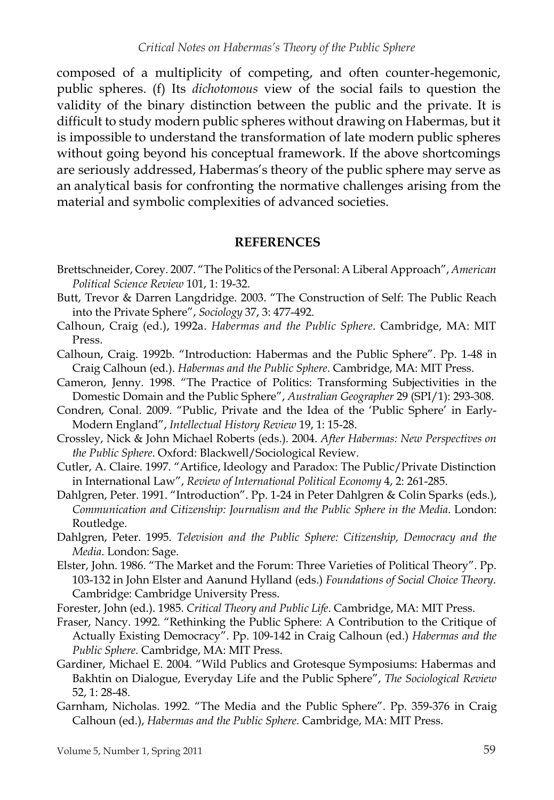composed of a multiplicity of competing, and often counter-hegemonic, public spheres. (f) Its *dichotomous* view of the social fails to question the validity of the binary distinction between the public and the private. It is difficult to study modern public spheres without drawing on Habermas, but it is impossible to understand the transformation of late modern public spheres without going beyond his conceptual framework. If the above shortcomings are seriously addressed, Habermas's theory of the public sphere may serve as an analytical basis for confronting the normative challenges arising from the material and symbolic complexities of advanced societies.

#### **REFERENCES**

- Brettschneider, Corey. 2007. "The Politics of the Personal: A Liberal Approach", *American Political Science Review* 101, 1: 19-32.
- Butt, Trevor & Darren Langdridge. 2003. "The Construction of Self: The Public Reach into the Private Sphere", *Sociology* 37, 3: 477-492.
- Calhoun, Craig (ed.), 1992a. *Habermas and the Public Sphere*. Cambridge, MA: MIT Press.
- Calhoun, Craig. 1992b. "Introduction: Habermas and the Public Sphere". Pp. 1-48 in Craig Calhoun (ed.). *Habermas and the Public Sphere*. Cambridge, MA: MIT Press.
- Cameron, Jenny. 1998. "The Practice of Politics: Transforming Subjectivities in the Domestic Domain and the Public Sphere", *Australian Geographer* 29 (SPI/1): 293-308.
- Condren, Conal. 2009. "Public, Private and the Idea of the 'Public Sphere' in Early-Modern England", *Intellectual History Review* 19, 1: 15-28.
- Crossley, Nick & John Michael Roberts (eds.). 2004. *After Habermas: New Perspectives on the Public Sphere*. Oxford: Blackwell/Sociological Review.
- Cutler, A. Claire. 1997. "Artifice, Ideology and Paradox: The Public/Private Distinction in International Law", *Review of International Political Economy* 4, 2: 261-285.
- Dahlgren, Peter. 1991. "Introduction". Pp. 1-24 in Peter Dahlgren & Colin Sparks (eds.), *Communication and Citizenship: Journalism and the Public Sphere in the Media*. London: Routledge.
- Dahlgren, Peter. 1995. *Television and the Public Sphere: Citizenship, Democracy and the Media*. London: Sage.
- Elster, John. 1986. "The Market and the Forum: Three Varieties of Political Theory". Pp. 103-132 in John Elster and Aanund Hylland (eds.) *Foundations of Social Choice Theory*. Cambridge: Cambridge University Press.
- Forester, John (ed.). 1985. *Critical Theory and Public Life*. Cambridge, MA: MIT Press.
- Fraser, Nancy. 1992. "Rethinking the Public Sphere: A Contribution to the Critique of Actually Existing Democracy". Pp. 109-142 in Craig Calhoun (ed.) *Habermas and the Public Sphere*. Cambridge, MA: MIT Press.
- Gardiner, Michael E. 2004. "Wild Publics and Grotesque Symposiums: Habermas and Bakhtin on Dialogue, Everyday Life and the Public Sphere", *The Sociological Review* 52, 1: 28-48.
- Garnham, Nicholas. 1992. "The Media and the Public Sphere". Pp. 359-376 in Craig Calhoun (ed.), *Habermas and the Public Sphere*. Cambridge, MA: MIT Press.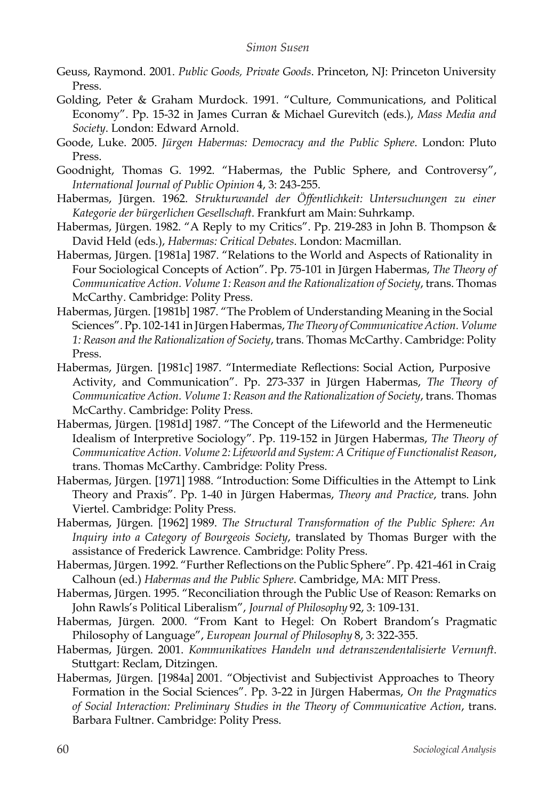- Geuss, Raymond. 2001. *Public Goods, Private Goods*. Princeton, NJ: Princeton University Press.
- Golding, Peter & Graham Murdock. 1991. "Culture, Communications, and Political Economy". Pp. 15-32 in James Curran & Michael Gurevitch (eds.), *Mass Media and Society*. London: Edward Arnold.
- Goode, Luke. 2005. *Jürgen Habermas: Democracy and the Public Sphere*. London: Pluto Press.
- Goodnight, Thomas G. 1992. "Habermas, the Public Sphere, and Controversy", *International Journal of Public Opinion* 4, 3: 243-255.
- Habermas, Jürgen. 1962. *Strukturwandel der Öffentlichkeit: Untersuchungen zu einer Kategorie der bürgerlichen Gesellschaft*. Frankfurt am Main: Suhrkamp.
- Habermas, Jürgen. 1982. "A Reply to my Critics". Pp. 219-283 in John B. Thompson & David Held (eds.), *Habermas: Critical Debates*. London: Macmillan.
- Habermas, Jürgen. [1981a] 1987. "Relations to the World and Aspects of Rationality in Four Sociological Concepts of Action". Pp. 75-101 in Jürgen Habermas, *The Theory of Communicative Action. Volume 1: Reason and the Rationalization of Society*, trans. Thomas McCarthy. Cambridge: Polity Press.
- Habermas, Jürgen. [1981b] 1987. "The Problem of Understanding Meaning in the Social Sciences". Pp. 102-141 in Jürgen Habermas, *The Theory ofCommunicative Action. Volume 1: Reason and the Rationalization of Society*, trans. Thomas McCarthy. Cambridge: Polity Press.
- Habermas, Jürgen. [1981c] 1987. "Intermediate Reflections: Social Action, Purposive Activity, and Communication". Pp. 273-337 in Jürgen Habermas, *The Theory of Communicative Action. Volume 1: Reason and the Rationalization of Society*, trans. Thomas McCarthy. Cambridge: Polity Press.
- Habermas, Jürgen. [1981d] 1987. "The Concept of the Lifeworld and the Hermeneutic Idealism of Interpretive Sociology". Pp. 119-152 in Jürgen Habermas, *The Theory of Communicative Action. Volume 2: Lifeworld and System: A Critique of Functionalist Reason*, trans. Thomas McCarthy. Cambridge: Polity Press.
- Habermas, Jürgen. [1971] 1988. "Introduction: Some Difficulties in the Attempt to Link Theory and Praxis". Pp. 1-40 in Jürgen Habermas, *Theory and Practice*, trans. John Viertel. Cambridge: Polity Press.
- Habermas, Jürgen. [1962] 1989. *The Structural Transformation of the Public Sphere: An Inquiry into a Category of Bourgeois Society*, translated by Thomas Burger with the assistance of Frederick Lawrence. Cambridge: Polity Press.
- Habermas, Jürgen. 1992. "Further Reflections on the Public Sphere". Pp. 421-461 in Craig Calhoun (ed.) *Habermas and the Public Sphere*. Cambridge, MA: MIT Press.
- Habermas, Jürgen. 1995. "Reconciliation through the Public Use of Reason: Remarks on John Rawls's Political Liberalism", *Journal of Philosophy* 92, 3: 109-131.
- Habermas, Jürgen. 2000. "From Kant to Hegel: On Robert Brandom's Pragmatic Philosophy of Language", *European Journal of Philosophy* 8, 3: 322-355.
- Habermas, Jürgen. 2001. *Kommunikatives Handeln und detranszendentalisierte Vernunft*. Stuttgart: Reclam, Ditzingen.
- Habermas, Jürgen. [1984a] 2001. "Objectivist and Subjectivist Approaches to Theory Formation in the Social Sciences". Pp. 3-22 in Jürgen Habermas, *On the Pragmatics of Social Interaction: Preliminary Studies in the Theory of Communicative Action*, trans. Barbara Fultner. Cambridge: Polity Press.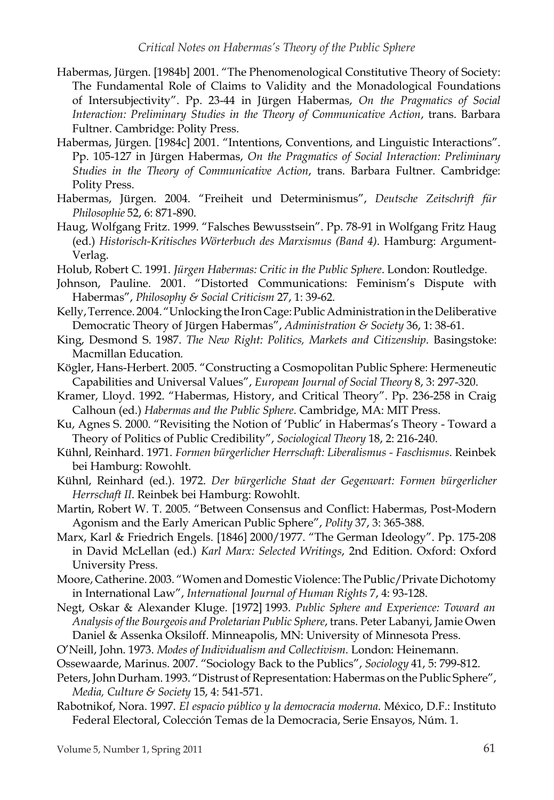- Habermas, Jürgen. [1984b] 2001. "The Phenomenological Constitutive Theory of Society: The Fundamental Role of Claims to Validity and the Monadological Foundations of Intersubjectivity". Pp. 23-44 in Jürgen Habermas, *On the Pragmatics of Social Interaction: Preliminary Studies in the Theory of Communicative Action*, trans. Barbara Fultner. Cambridge: Polity Press.
- Habermas, Jürgen. [1984c] 2001. "Intentions, Conventions, and Linguistic Interactions". Pp. 105-127 in Jürgen Habermas, *On the Pragmatics of Social Interaction: Preliminary Studies in the Theory of Communicative Action*, trans. Barbara Fultner. Cambridge: Polity Press.
- Habermas, Jürgen. 2004. "Freiheit und Determinismus", *Deutsche Zeitschrift für Philosophie* 52, 6: 871-890.
- Haug, Wolfgang Fritz. 1999. "Falsches Bewusstsein". Pp. 78-91 in Wolfgang Fritz Haug (ed.) *Historisch-Kritisches Wörterbuch des Marxismus (Band 4)*. Hamburg: Argument-Verlag.
- Holub, Robert C. 1991. *Jürgen Habermas: Critic in the Public Sphere*. London: Routledge.
- Johnson, Pauline. 2001. "Distorted Communications: Feminism's Dispute with Habermas", *Philosophy & Social Criticism* 27, 1: 39-62.
- Kelly, Terrence. 2004. "Unlocking the Iron Cage: Public Administration in the Deliberative Democratic Theory of Jürgen Habermas", *Administration & Society* 36, 1: 38-61.
- King, Desmond S. 1987. *The New Right: Politics, Markets and Citizenship*. Basingstoke: Macmillan Education.
- Kögler, Hans-Herbert. 2005. "Constructing a Cosmopolitan Public Sphere: Hermeneutic Capabilities and Universal Values", *European Journal of Social Theory* 8, 3: 297-320.
- Kramer, Lloyd. 1992. "Habermas, History, and Critical Theory". Pp. 236-258 in Craig Calhoun (ed.) *Habermas and the Public Sphere*. Cambridge, MA: MIT Press.
- Ku, Agnes S. 2000. "Revisiting the Notion of 'Public' in Habermas's Theory Toward a Theory of Politics of Public Credibility", *Sociological Theory* 18, 2: 216-240.
- Kühnl, Reinhard. 1971. *Formen bürgerlicher Herrschaft: Liberalismus - Faschismus*. Reinbek bei Hamburg: Rowohlt.
- Kühnl, Reinhard (ed.). 1972. *Der bürgerliche Staat der Gegenwart: Formen bürgerlicher Herrschaft II*. Reinbek bei Hamburg: Rowohlt.
- Martin, Robert W. T. 2005. "Between Consensus and Conflict: Habermas, Post-Modern Agonism and the Early American Public Sphere", *Polity* 37, 3: 365-388.
- Marx, Karl & Friedrich Engels. [1846] 2000/1977. "The German Ideology". Pp. 175-208 in David McLellan (ed.) *Karl Marx: Selected Writings*, 2nd Edition. Oxford: Oxford University Press.
- Moore, Catherine. 2003. "Women and Domestic Violence: The Public/Private Dichotomy in International Law", *International Journal of Human Rights* 7, 4: 93-128.
- Negt, Oskar & Alexander Kluge. [1972] 1993. *Public Sphere and Experience: Toward an Analysis of the Bourgeois and ProletarianPublic Sphere*, trans. Peter Labanyi, Jamie Owen Daniel & Assenka Oksiloff. Minneapolis, MN: University of Minnesota Press.
- O'Neill, John. 1973. *Modes of Individualism and Collectivism*. London: Heinemann.
- Ossewaarde, Marinus. 2007. "Sociology Back to the Publics", *Sociology* 41, 5: 799-812.
- Peters, John Durham. 1993. "Distrust of Representation: Habermas on the Public Sphere", *Media, Culture & Society* 15, 4: 541-571.
- Rabotnikof, Nora. 1997. *El espacio público y la democracia moderna*. México, D.F.: Instituto Federal Electoral, Colección Temas de la Democracia, Serie Ensayos, Núm. 1.

Volume 5, Number 1, Spring 2011 61